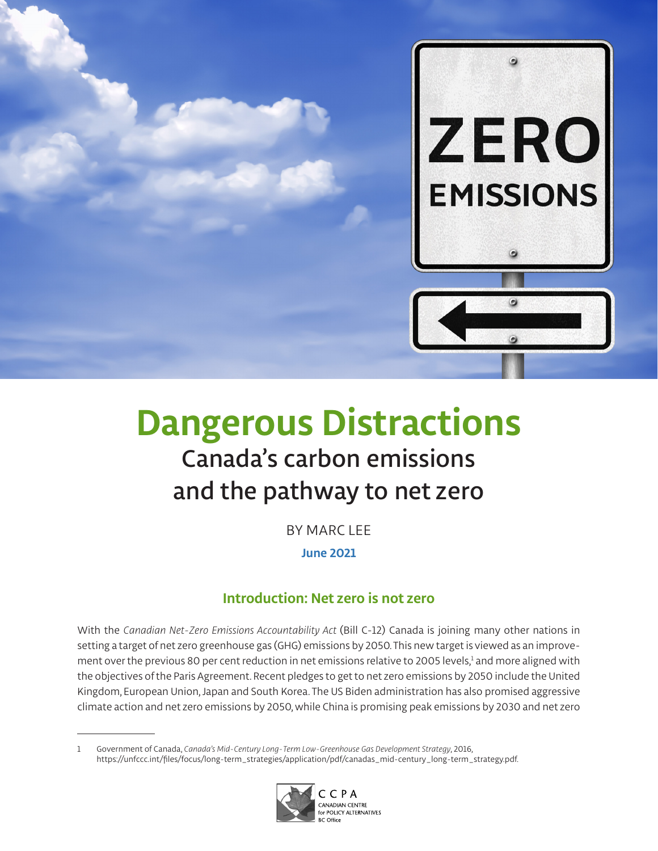

# **Dangerous Distractions** Canada's carbon emissions and the pathway to net zero

BY MARC LEE **June 2021**

## **Introduction: Net zero is not zero**

With the *Canadian Net-Zero Emissions Accountability Act* (Bill C-12) Canada is joining many other nations in setting a target of net zero greenhouse gas (GHG) emissions by 2050. This new target is viewed as an improvement over the previous 80 per cent reduction in net emissions relative to 2005 levels,<sup>1</sup> and more aligned with the objectives of the Paris Agreement. Recent pledges to get to net zero emissions by 2050 include the United Kingdom, European Union, Japan and South Korea. The US Biden administration has also promised aggressive climate action and net zero emissions by 2050, while China is promising peak emissions by 2030 and net zero

<sup>1</sup> Government of Canada, *Canada's Mid-Century Long-Term Low-Greenhouse Gas Development Strategy*, 2016, [https://unfccc.int/files/focus/long-term\\_strategies/application/pdf/canadas\\_mid-century\\_long-term\\_strategy.pdf](https://unfccc.int/files/focus/long-term_strategies/application/pdf/canadas_mid-century_long-term_strategy.pdf).

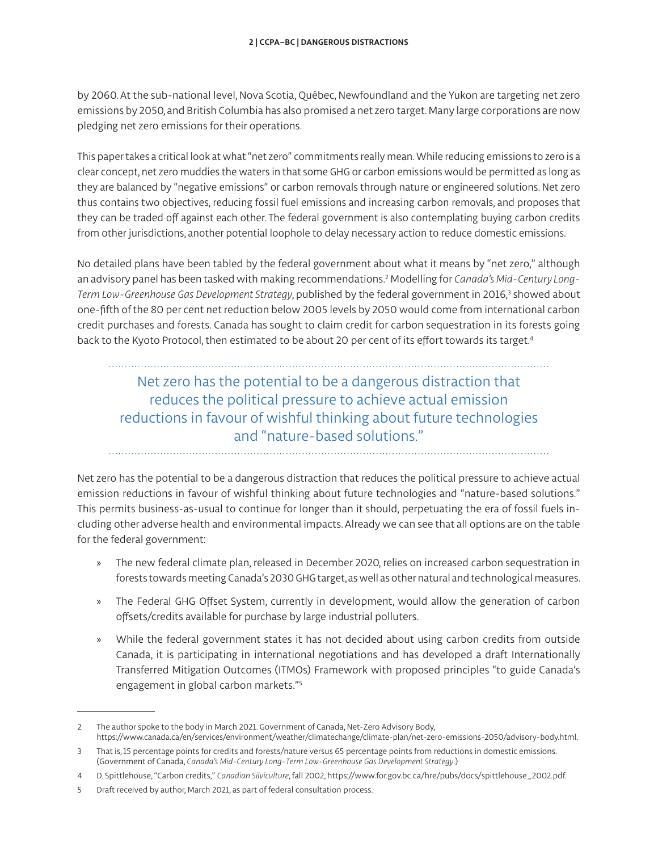by 2060. At the sub-national level, Nova Scotia, Québec, Newfoundland and the Yukon are targeting net zero emissions by 2050, and British Columbia has also promised a net zero target. Many large corporations are now pledging net zero emissions for their operations.

This paper takes a critical look at what "net zero" commitments really mean. While reducing emissions to zero is a clear concept, net zero muddies the waters in that some GHG or carbon emissions would be permitted as long as they are balanced by "negative emissions" or carbon removals through nature or engineered solutions. Net zero thus contains two objectives, reducing fossil fuel emissions and increasing carbon removals, and proposes that they can be traded off against each other. The federal government is also contemplating buying carbon credits from other jurisdictions, another potential loophole to delay necessary action to reduce domestic emissions.

No detailed plans have been tabled by the federal government about what it means by "net zero," although an advisory panel has been tasked with making recommendations.2 Modelling for *Canada's Mid-Century Long-*Term Low-Greenhouse Gas Development Strategy, published by the federal government in 2016,<sup>3</sup> showed about one-fifth of the 80 per cent net reduction below 2005 levels by 2050 would come from international carbon credit purchases and forests. Canada has sought to claim credit for carbon sequestration in its forests going back to the Kyoto Protocol, then estimated to be about 20 per cent of its effort towards its target.4

# Net zero has the potential to be a dangerous distraction that reduces the political pressure to achieve actual emission reductions in favour of wishful thinking about future technologies and "nature-based solutions."

Net zero has the potential to be a dangerous distraction that reduces the political pressure to achieve actual emission reductions in favour of wishful thinking about future technologies and "nature-based solutions." This permits business-as-usual to continue for longer than it should, perpetuating the era of fossil fuels including other adverse health and environmental impacts. Already we can see that all options are on the table for the federal government:

- » The new federal climate plan, released in December 2020, relies on increased carbon sequestration in forests towards meeting Canada's 2030 GHG target, as well as other natural and technological measures.
- » The Federal GHG Offset System, currently in development, would allow the generation of carbon offsets/credits available for purchase by large industrial polluters.
- » While the federal government states it has not decided about using carbon credits from outside Canada, it is participating in international negotiations and has developed a draft Internationally Transferred Mitigation Outcomes (ITMOs) Framework with proposed principles "to guide Canada's engagement in global carbon markets."5

<sup>2</sup> The author spoke to the body in March 2021. Government of Canada, Net-Zero Advisory Body, [https://www.canada.ca/en/services/environment/weather/climatechange/climate-plan/net-zero-emissions-2050/advisory-body.html.](https://www.canada.ca/en/services/environment/weather/climatechange/climate-plan/net-zero-emissions-2050/advisory-body.html)

<sup>3</sup> That is, 15 percentage points for credits and forests/nature versus 65 percentage points from reductions in domestic emissions. (Government of Canada, *Canada's Mid-Century Long-Term Low-Greenhouse Gas Development Strategy*.)

<sup>4</sup> D. Spittlehouse, "Carbon credits," *Canadian Silviculture*, fall 2002, [https://www.for.gov.bc.ca/hre/pubs/docs/spittlehouse\\_2002.pdf.](https://www.for.gov.bc.ca/hre/pubs/docs/spittlehouse_2002.pdf)

<sup>5</sup> Draft received by author, March 2021, as part of federal consultation process.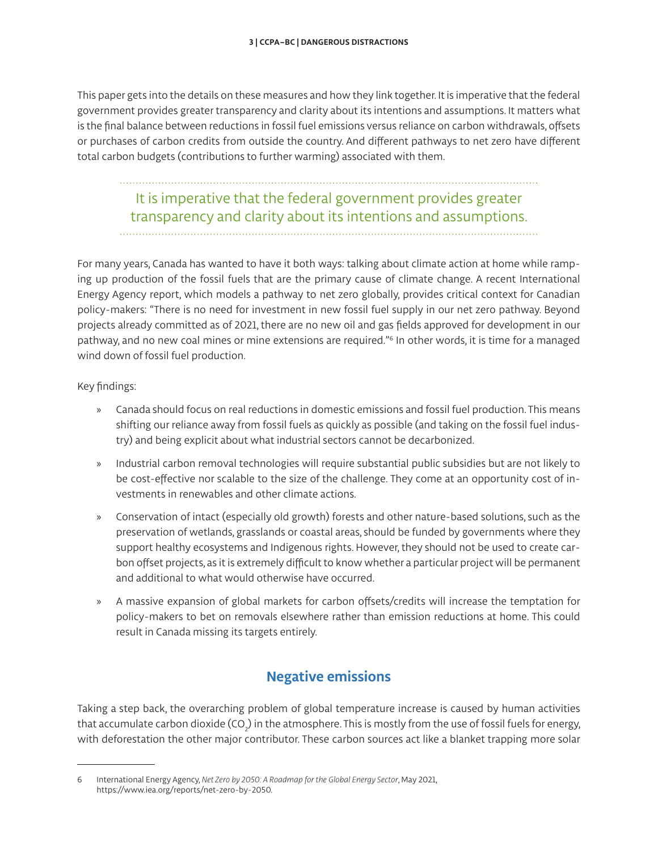This paper gets into the details on these measures and how they link together. It is imperative that the federal government provides greater transparency and clarity about its intentions and assumptions. It matters what is the final balance between reductions in fossil fuel emissions versus reliance on carbon withdrawals, offsets or purchases of carbon credits from outside the country. And different pathways to net zero have different total carbon budgets (contributions to further warming) associated with them.

#### It is imperative that the federal government provides greater transparency and clarity about its intentions and assumptions.

For many years, Canada has wanted to have it both ways: talking about climate action at home while ramping up production of the fossil fuels that are the primary cause of climate change. A recent International Energy Agency report, which models a pathway to net zero globally, provides critical context for Canadian policy-makers: "There is no need for investment in new fossil fuel supply in our net zero pathway. Beyond projects already committed as of 2021, there are no new oil and gas fields approved for development in our pathway, and no new coal mines or mine extensions are required."6 In other words, it is time for a managed wind down of fossil fuel production.

Key findings:

- » Canada should focus on real reductions in domestic emissions and fossil fuel production. This means shifting our reliance away from fossil fuels as quickly as possible (and taking on the fossil fuel industry) and being explicit about what industrial sectors cannot be decarbonized.
- » Industrial carbon removal technologies will require substantial public subsidies but are not likely to be cost-effective nor scalable to the size of the challenge. They come at an opportunity cost of investments in renewables and other climate actions.
- » Conservation of intact (especially old growth) forests and other nature-based solutions, such as the preservation of wetlands, grasslands or coastal areas, should be funded by governments where they support healthy ecosystems and Indigenous rights. However, they should not be used to create carbon offset projects, as it is extremely difficult to know whether a particular project will be permanent and additional to what would otherwise have occurred.
- » A massive expansion of global markets for carbon offsets/credits will increase the temptation for policy-makers to bet on removals elsewhere rather than emission reductions at home. This could result in Canada missing its targets entirely.

## **Negative emissions**

Taking a step back, the overarching problem of global temperature increase is caused by human activities that accumulate carbon dioxide (CO<sub>2</sub>) in the atmosphere. This is mostly from the use of fossil fuels for energy, with deforestation the other major contributor. These carbon sources act like a blanket trapping more solar

<sup>6</sup> International Energy Agency, *Net Zero by 2050: A Roadmap for the Global Energy Sector*, May 2021, [https://www.iea.org/reports/net-zero-by-2050.](https://www.iea.org/reports/net-zero-by-2050)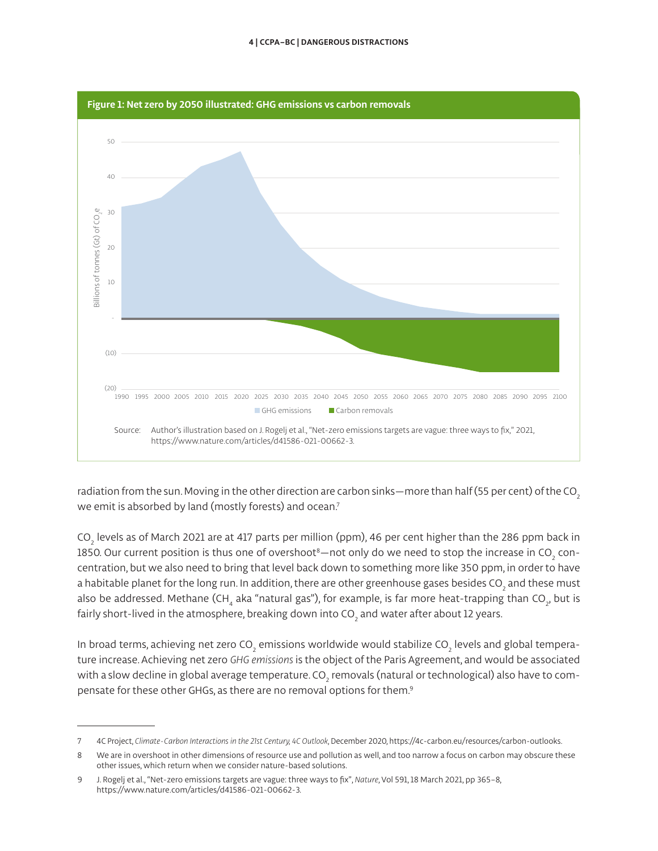

radiation from the sun. Moving in the other direction are carbon sinks—more than half (55 per cent) of the CO<sub>2</sub> we emit is absorbed by land (mostly forests) and ocean.<sup>7</sup>

CO $_{_2}$  levels as of March 2021 are at 417 parts per million (ppm), 46 per cent higher than the 286 ppm back in 1850. Our current position is thus one of overshoot $^{\rm 8}-$ not only do we need to stop the increase in CO $_{_2}$  concentration, but we also need to bring that level back down to something more like 350 ppm, in order to have a habitable planet for the long run. In addition, there are other greenhouse gases besides CO<sub>2</sub> and these must also be addressed. Methane (CH<sub>4</sub> aka "natural gas"), for example, is far more heat-trapping than CO<sub>2</sub>, but is fairly short-lived in the atmosphere, breaking down into CO<sub>2</sub> and water after about 12 years.

In broad terms, achieving net zero CO $_{_2}$  emissions worldwide would stabilize CO $_{_2}$  levels and global temperature increase. Achieving net zero *GHG emissions* is the object of the Paris Agreement, and would be associated with a slow decline in global average temperature. CO $_{_2}$  removals (natural or technological) also have to compensate for these other GHGs, as there are no removal options for them.9

<sup>7</sup> 4C Project, *Climate-Carbon Interactions in the 21st Century, 4C Outlook*, December 2020, [https://4c-carbon.eu/resources/carbon-outlooks.](https://4c-carbon.eu/resources/carbon-outlooks)

<sup>8</sup> We are in overshoot in other dimensions of resource use and pollution as well, and too narrow a focus on carbon may obscure these other issues, which return when we consider nature-based solutions.

<sup>9</sup> J. Rogelj et al., "Net-zero emissions targets are vague: three ways to fix", *Nature*, Vol 591, 18 March 2021, pp 365–8, [https://www.nature.com/articles/d41586-021-00662-3.](https://www.nature.com/articles/d41586-021-00662-3)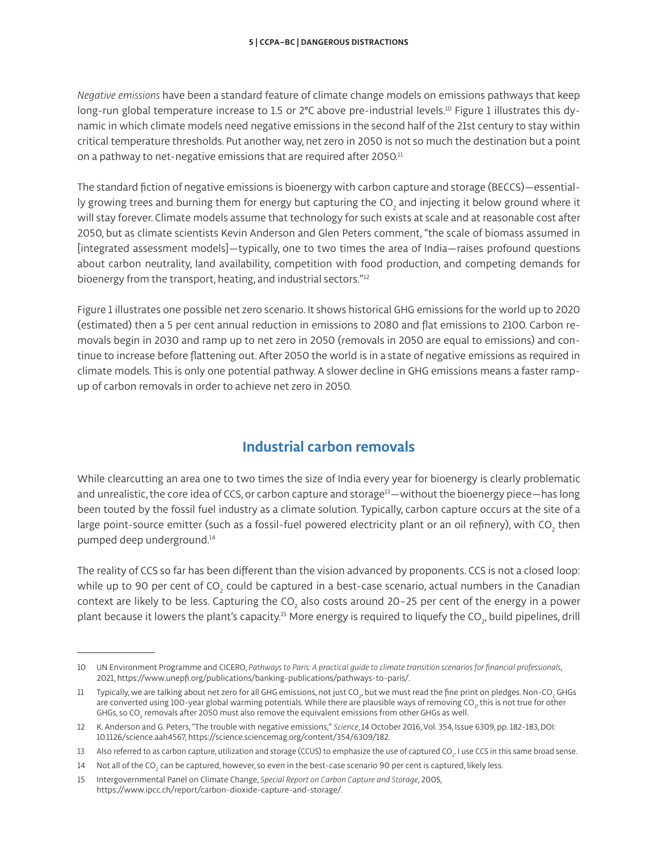*Negative emissions* have been a standard feature of climate change models on emissions pathways that keep long-run global temperature increase to 1.5 or 2°C above pre-industrial levels.<sup>10</sup> Figure 1 illustrates this dynamic in which climate models need negative emissions in the second half of the 21st century to stay within critical temperature thresholds. Put another way, net zero in 2050 is not so much the destination but a point on a pathway to net-negative emissions that are required after 2050.<sup>11</sup>

The standard fiction of negative emissions is bioenergy with carbon capture and storage (BECCS)—essentially growing trees and burning them for energy but capturing the CO<sub>2</sub> and injecting it below ground where it will stay forever. Climate models assume that technology for such exists at scale and at reasonable cost after 2050, but as climate scientists Kevin Anderson and Glen Peters comment, "the scale of biomass assumed in [integrated assessment models]—typically, one to two times the area of India—raises profound questions about carbon neutrality, land availability, competition with food production, and competing demands for bioenergy from the transport, heating, and industrial sectors."<sup>12</sup>

Figure 1 illustrates one possible net zero scenario. It shows historical GHG emissions for the world up to 2020 (estimated) then a 5 per cent annual reduction in emissions to 2080 and flat emissions to 2100. Carbon removals begin in 2030 and ramp up to net zero in 2050 (removals in 2050 are equal to emissions) and continue to increase before flattening out. After 2050 the world is in a state of negative emissions as required in climate models. This is only one potential pathway. A slower decline in GHG emissions means a faster rampup of carbon removals in order to achieve net zero in 2050.

# **Industrial carbon removals**

While clearcutting an area one to two times the size of India every year for bioenergy is clearly problematic and unrealistic, the core idea of CCS, or carbon capture and storage<sup>13</sup>—without the bioenergy piece—has long been touted by the fossil fuel industry as a climate solution. Typically, carbon capture occurs at the site of a large point-source emitter (such as a fossil-fuel powered electricity plant or an oil refinery), with CO $_{_2}$  then pumped deep underground.14

The reality of CCS so far has been different than the vision advanced by proponents. CCS is not a closed loop: while up to 90 per cent of CO $_{_2}$  could be captured in a best-case scenario, actual numbers in the Canadian context are likely to be less. Capturing the CO $_{\rm 2}$  also costs around 20–25 per cent of the energy in a power plant because it lowers the plant's capacity. $^{\rm 15}$  More energy is required to liquefy the CO $_{_2}$ , build pipelines, drill

<sup>10</sup> UN Environment Programme and CICERO, *Pathways to Paris: A practical guide to climate transition scenarios for financial professionals*, 2021,<https://www.unepfi.org/publications/banking-publications/pathways-to-paris/>.

 $^{11}$  Typically, we are talking about net zero for all GHG emissions, not just CO $_{p}$  but we must read the fine print on pledges. Non-CO $_{2}$  GHGs are converted using 100-year global warming potentials. While there are plausible ways of removing CO $_{\rm p}$  this is not true for other GHGs, so CO $_{_2}$  removals after 2050 must also remove the equivalent emissions from other GHGs as well.

<sup>12</sup> K. Anderson and G. Peters, "The trouble with negative emissions," *Science*, 14 October 2016, Vol. 354, Issue 6309, pp. 182-183, DOI: 10.1126/science.aah4567,<https://science.sciencemag.org/content/354/6309/182>.

<sup>13</sup>  $\;\;$  Also referred to as carbon capture, utilization and storage (CCUS) to emphasize the use of captured CO $_{2}$ . I use CCS in this same broad sense.

<sup>14</sup>  $\;\;$  Not all of the CO $_2$  can be captured, however, so even in the best-case scenario 90 per cent is captured, likely less.

<sup>15</sup> Intergovernmental Panel on Climate Change, *Special Report on Carbon Capture and Storage*, 2005, <https://www.ipcc.ch/report/carbon-dioxide-capture-and-storage/>.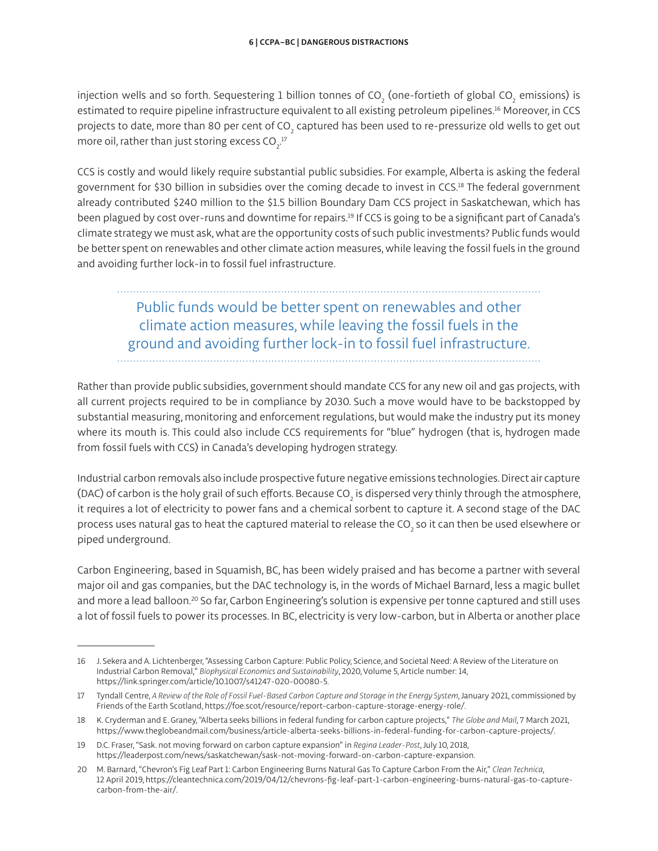injection wells and so forth. Sequestering 1 billion tonnes of CO $_{_2}$  (one-fortieth of global CO $_{_2}$  emissions) is estimated to require pipeline infrastructure equivalent to all existing petroleum pipelines.16 Moreover, in CCS projects to date, more than 80 per cent of CO $_{_2}$  captured has been used to re-pressurize old wells to get out more oil, rather than just storing excess CO $_2^{\,17}$ 

CCS is costly and would likely require substantial public subsidies. For example, Alberta is asking the federal government for \$30 billion in subsidies over the coming decade to invest in CCS.18 The federal government already contributed \$240 million to the \$1.5 billion Boundary Dam CCS project in Saskatchewan, which has been plagued by cost over-runs and downtime for repairs.19 If CCS is going to be a significant part of Canada's climate strategy we must ask, what are the opportunity costs of such public investments? Public funds would be better spent on renewables and other climate action measures, while leaving the fossil fuels in the ground and avoiding further lock-in to fossil fuel infrastructure.

# Public funds would be better spent on renewables and other climate action measures, while leaving the fossil fuels in the ground and avoiding further lock-in to fossil fuel infrastructure.

Rather than provide public subsidies, government should mandate CCS for any new oil and gas projects, with all current projects required to be in compliance by 2030. Such a move would have to be backstopped by substantial measuring, monitoring and enforcement regulations, but would make the industry put its money where its mouth is. This could also include CCS requirements for "blue" hydrogen (that is, hydrogen made from fossil fuels with CCS) in Canada's developing hydrogen strategy.

Industrial carbon removals also include prospective future negative emissions technologies. Direct air capture (DAC) of carbon is the holy grail of such efforts. Because CO<sub>2</sub> is dispersed very thinly through the atmosphere, it requires a lot of electricity to power fans and a chemical sorbent to capture it. A second stage of the DAC process uses natural gas to heat the captured material to release the CO<sub>2</sub> so it can then be used elsewhere or piped underground.

Carbon Engineering, based in Squamish, BC, has been widely praised and has become a partner with several major oil and gas companies, but the DAC technology is, in the words of Michael Barnard, less a magic bullet and more a lead balloon.<sup>20</sup> So far, Carbon Engineering's solution is expensive per tonne captured and still uses a lot of fossil fuels to power its processes. In BC, electricity is very low-carbon, but in Alberta or another place

<sup>16</sup> J. Sekera and A. Lichtenberger, "Assessing Carbon Capture: Public Policy, Science, and Societal Need: A Review of the Literature on Industrial Carbon Removal," *Biophysical Economics and Sustainability*, 2020, Volume 5, Article number: 14, [https://link.springer.com/article/10.1007/s41247-020-00080-5.](https://link.springer.com/article/10.1007/s41247-020-00080-5)

<sup>17</sup> Tyndall Centre, *A Review of the Role of Fossil Fuel-Based Carbon Capture and Storage in the Energy System*, January 2021, commissioned by Friends of the Earth Scotland, <https://foe.scot/resource/report-carbon-capture-storage-energy-role/>.

<sup>18</sup> K. Cryderman and E. Graney, "Alberta seeks billions in federal funding for carbon capture projects," *The Globe and Mail*, 7 March 2021, [https://www.theglobeandmail.com/business/article-alberta-seeks-billions-in-federal-funding-for-carbon-capture-projects/.](https://www.theglobeandmail.com/business/article-alberta-seeks-billions-in-federal-funding-for-carbon-capture-projects/)

<sup>19</sup> D.C. Fraser, "Sask. not moving forward on carbon capture expansion" in *Regina Leader-Post*, July 10, 2018, [https://leaderpost.com/news/saskatchewan/sask-not-moving-forward-on-carbon-capture-expansion.](https://leaderpost.com/news/saskatchewan/sask-not-moving-forward-on-carbon-capture-expansion)

<sup>20</sup> M. Barnard, "Chevron's Fig Leaf Part 1: Carbon Engineering Burns Natural Gas To Capture Carbon From the Air," *Clean Technica*, 12 April 2019, [https://cleantechnica.com/2019/04/12/chevrons-fig-leaf-part-1-carbon-engineering-burns-natural-gas-to-capture](https://cleantechnica.com/2019/04/12/chevrons-fig-leaf-part-1-carbon-engineering-burns-natural-gas-to-capture-carbon-from-the-air/)[carbon-from-the-air/.](https://cleantechnica.com/2019/04/12/chevrons-fig-leaf-part-1-carbon-engineering-burns-natural-gas-to-capture-carbon-from-the-air/)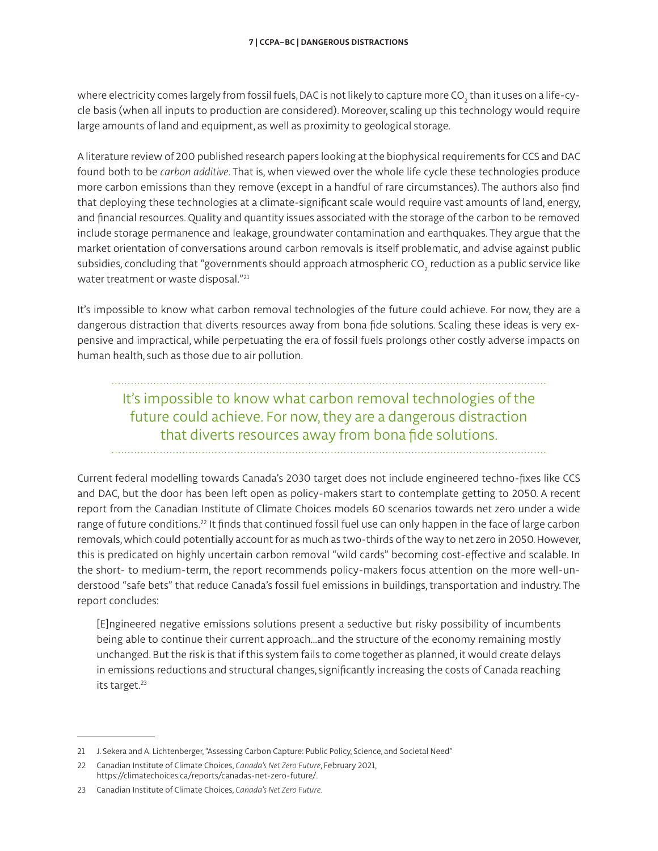where electricity comes largely from fossil fuels, DAC is not likely to capture more CO<sub>2</sub> than it uses on a life-cycle basis (when all inputs to production are considered). Moreover, scaling up this technology would require large amounts of land and equipment, as well as proximity to geological storage.

A literature review of 200 published research papers looking at the biophysical requirements for CCS and DAC found both to be *carbon additive*. That is, when viewed over the whole life cycle these technologies produce more carbon emissions than they remove (except in a handful of rare circumstances). The authors also find that deploying these technologies at a climate-significant scale would require vast amounts of land, energy, and financial resources. Quality and quantity issues associated with the storage of the carbon to be removed include storage permanence and leakage, groundwater contamination and earthquakes. They argue that the market orientation of conversations around carbon removals is itself problematic, and advise against public subsidies, concluding that "governments should approach atmospheric CO $_{_2}$  reduction as a public service like water treatment or waste disposal."<sup>21</sup>

It's impossible to know what carbon removal technologies of the future could achieve. For now, they are a dangerous distraction that diverts resources away from bona fide solutions. Scaling these ideas is very expensive and impractical, while perpetuating the era of fossil fuels prolongs other costly adverse impacts on human health, such as those due to air pollution.

It's impossible to know what carbon removal technologies of the future could achieve. For now, they are a dangerous distraction that diverts resources away from bona fide solutions.

Current federal modelling towards Canada's 2030 target does not include engineered techno-fixes like CCS and DAC, but the door has been left open as policy-makers start to contemplate getting to 2050. A recent report from the Canadian Institute of Climate Choices models 60 scenarios towards net zero under a wide range of future conditions.<sup>22</sup> It finds that continued fossil fuel use can only happen in the face of large carbon removals, which could potentially account for as much as two-thirds of the way to net zero in 2050. However, this is predicated on highly uncertain carbon removal "wild cards" becoming cost-effective and scalable. In the short- to medium-term, the report recommends policy-makers focus attention on the more well-understood "safe bets" that reduce Canada's fossil fuel emissions in buildings, transportation and industry. The report concludes:

[E]ngineered negative emissions solutions present a seductive but risky possibility of incumbents being able to continue their current approach…and the structure of the economy remaining mostly unchanged. But the risk is that if this system fails to come together as planned, it would create delays in emissions reductions and structural changes, significantly increasing the costs of Canada reaching its target.<sup>23</sup>

<sup>21</sup> J. Sekera and A. Lichtenberger, "Assessing Carbon Capture: Public Policy, Science, and Societal Need"

<sup>22</sup> Canadian Institute of Climate Choices, *Canada's Net Zero Future*, February 2021, <https://climatechoices.ca/reports/canadas-net-zero-future/>.

<sup>23</sup> Canadian Institute of Climate Choices, *Canada's Net Zero Future.*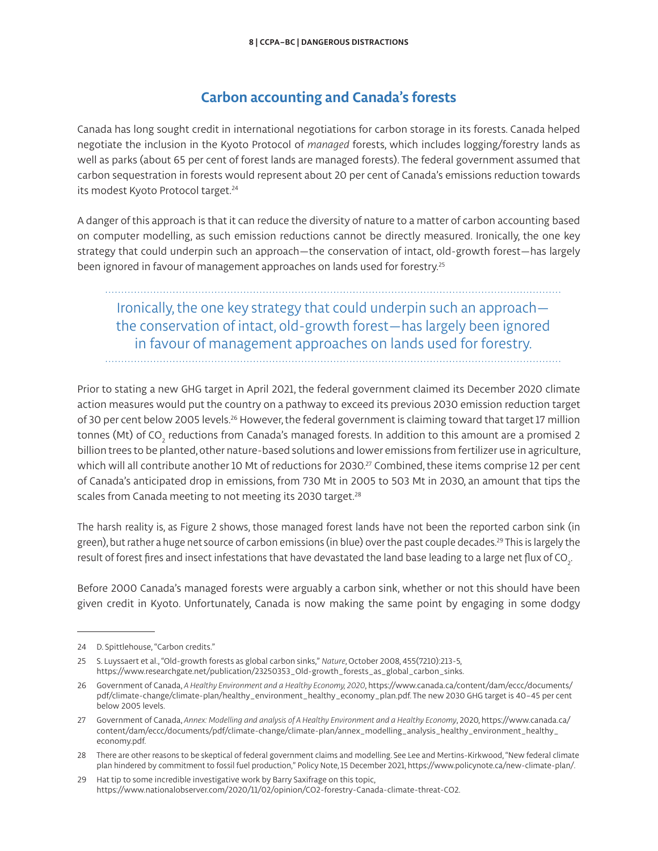### **Carbon accounting and Canada's forests**

Canada has long sought credit in international negotiations for carbon storage in its forests. Canada helped negotiate the inclusion in the Kyoto Protocol of *managed* forests, which includes logging/forestry lands as well as parks (about 65 per cent of forest lands are managed forests). The federal government assumed that carbon sequestration in forests would represent about 20 per cent of Canada's emissions reduction towards its modest Kyoto Protocol target.<sup>24</sup>

A danger of this approach is that it can reduce the diversity of nature to a matter of carbon accounting based on computer modelling, as such emission reductions cannot be directly measured. Ironically, the one key strategy that could underpin such an approach—the conservation of intact, old-growth forest—has largely been ignored in favour of management approaches on lands used for forestry.<sup>25</sup>

# Ironically, the one key strategy that could underpin such an approach the conservation of intact, old-growth forest—has largely been ignored in favour of management approaches on lands used for forestry.

Prior to stating a new GHG target in April 2021, the federal government claimed its December 2020 climate action measures would put the country on a pathway to exceed its previous 2030 emission reduction target of 30 per cent below 2005 levels.<sup>26</sup> However, the federal government is claiming toward that target 17 million

tonnes (Mt) of CO $_{_2}$  reductions from Canada's managed forests. In addition to this amount are a promised 2 billion trees to be planted, other nature-based solutions and lower emissions from fertilizer use in agriculture, which will all contribute another 10 Mt of reductions for 2030.<sup>27</sup> Combined, these items comprise 12 per cent of Canada's anticipated drop in emissions, from 730 Mt in 2005 to 503 Mt in 2030, an amount that tips the scales from Canada meeting to not meeting its 2030 target.<sup>28</sup>

The harsh reality is, as Figure 2 shows, those managed forest lands have not been the reported carbon sink (in green), but rather a huge net source of carbon emissions (in blue) over the past couple decades.<sup>29</sup> This is largely the result of forest fires and insect infestations that have devastated the land base leading to a large net flux of CO $_{_2}\!$ .

Before 2000 Canada's managed forests were arguably a carbon sink, whether or not this should have been given credit in Kyoto. Unfortunately, Canada is now making the same point by engaging in some dodgy

<sup>24</sup> D. Spittlehouse, "Carbon credits."

<sup>25</sup> S. Luyssaert et al., "Old-growth forests as global carbon sinks," *Nature*, October 2008, 455(7210):213-5, [https://www.researchgate.net/publication/23250353\\_Old-growth\\_forests\\_as\\_global\\_carbon\\_sinks](https://www.researchgate.net/publication/23250353_Old-growth_forests_as_global_carbon_sinks).

<sup>26</sup> Government of Canada, *A Healthy Environment and a Healthy Economy, 2020*, [https://www.canada.ca/content/dam/eccc/documents/](https://www.canada.ca/content/dam/eccc/documents/pdf/climate-change/climate-plan/annex_modelling_analysis_healthy_environment_healthy_economy.pdf) [pdf/climate-change/climate-plan/healthy\\_environment\\_healthy\\_economy\\_plan.pdf. The new 2030 GHG target is 40–45 per cent](https://www.canada.ca/content/dam/eccc/documents/pdf/climate-change/climate-plan/annex_modelling_analysis_healthy_environment_healthy_economy.pdf)  [below 2005 levels](https://www.canada.ca/content/dam/eccc/documents/pdf/climate-change/climate-plan/annex_modelling_analysis_healthy_environment_healthy_economy.pdf).

<sup>27</sup> Government of Canada, *Annex: Modelling and analysis of A Healthy Environment and a Healthy Economy*, 2020, [https://www.canada.ca/](https://www.canada.ca/content/dam/eccc/documents/pdf/climate-change/climate-plan/annex_modelling_analysis_healthy_environment_healthy_economy.pdf) [content/dam/eccc/documents/pdf/climate-change/climate-plan/annex\\_modelling\\_analysis\\_healthy\\_environment\\_healthy\\_](https://www.canada.ca/content/dam/eccc/documents/pdf/climate-change/climate-plan/annex_modelling_analysis_healthy_environment_healthy_economy.pdf) [economy.pdf](https://www.canada.ca/content/dam/eccc/documents/pdf/climate-change/climate-plan/annex_modelling_analysis_healthy_environment_healthy_economy.pdf).

<sup>28</sup> There are other reasons to be skeptical of federal government claims and modelling. See Lee and Mertins-Kirkwood, "New federal climate plan hindered by commitment to fossil fuel production," Policy Note, 15 December 2021, <https://www.policynote.ca/new-climate-plan/>.

<sup>29</sup> Hat tip to some incredible investigative work by Barry Saxifrage on this topic, [https://www.nationalobserver.com/2020/11/02/opinion/CO2-forestry-Canada-climate-threat-CO2.](https://www.nationalobserver.com/2020/11/02/opinion/CO2-forestry-Canada-climate-threat-CO2)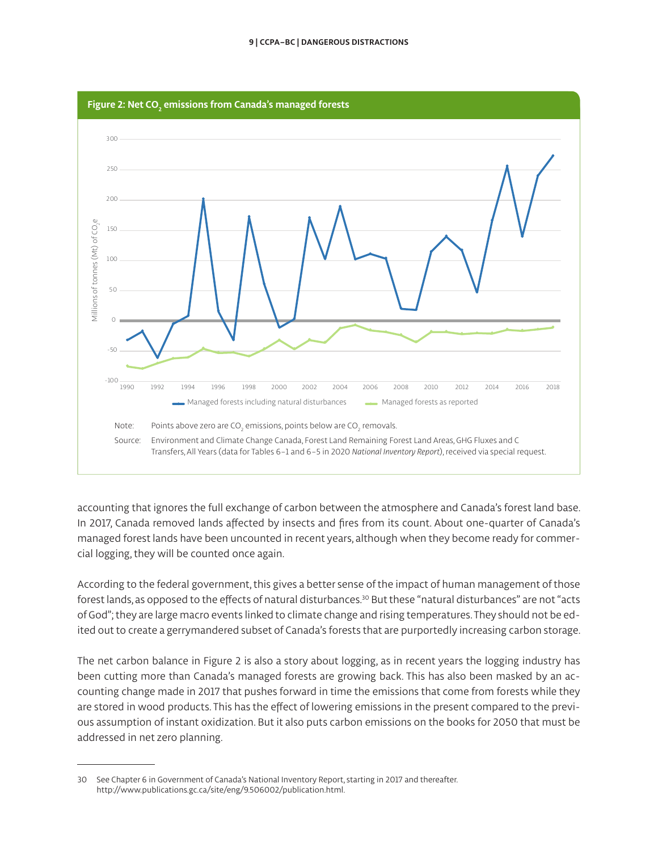

accounting that ignores the full exchange of carbon between the atmosphere and Canada's forest land base. In 2017, Canada removed lands affected by insects and fires from its count. About one-quarter of Canada's managed forest lands have been uncounted in recent years, although when they become ready for commercial logging, they will be counted once again.

According to the federal government, this gives a better sense of the impact of human management of those forest lands, as opposed to the effects of natural disturbances.<sup>30</sup> But these "natural disturbances" are not "acts of God"; they are large macro events linked to climate change and rising temperatures. They should not be edited out to create a gerrymandered subset of Canada's forests that are purportedly increasing carbon storage.

The net carbon balance in Figure 2 is also a story about logging, as in recent years the logging industry has been cutting more than Canada's managed forests are growing back. This has also been masked by an accounting change made in 2017 that pushes forward in time the emissions that come from forests while they are stored in wood products. This has the effect of lowering emissions in the present compared to the previous assumption of instant oxidization. But it also puts carbon emissions on the books for 2050 that must be addressed in net zero planning.

<sup>30</sup> See Chapter 6 in Government of Canada's National Inventory Report, starting in 2017 and thereafter. [http://www.publications.gc.ca/site/eng/9.506002/publication.html.](http://www.publications.gc.ca/site/eng/9.506002/publication.html)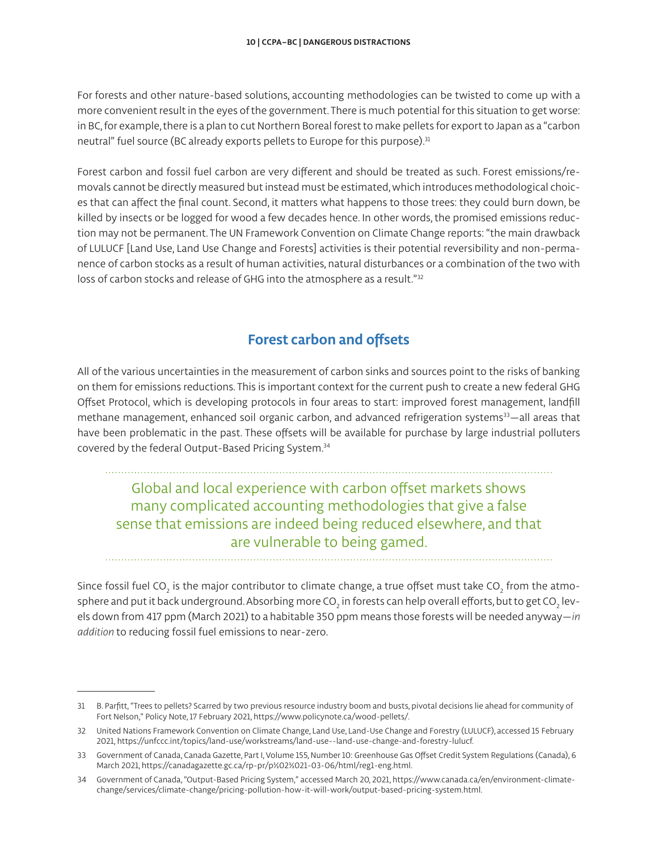For forests and other nature-based solutions, accounting methodologies can be twisted to come up with a more convenient result in the eyes of the government. There is much potential for this situation to get worse: in BC, for example, there is a plan to cut Northern Boreal forest to make pellets for export to Japan as a "carbon neutral" fuel source (BC already exports pellets to Europe for this purpose).<sup>31</sup>

Forest carbon and fossil fuel carbon are very different and should be treated as such. Forest emissions/removals cannot be directly measured but instead must be estimated, which introduces methodological choices that can affect the final count. Second, it matters what happens to those trees: they could burn down, be killed by insects or be logged for wood a few decades hence. In other words, the promised emissions reduction may not be permanent. The UN Framework Convention on Climate Change reports: "the main drawback of LULUCF [Land Use, Land Use Change and Forests] activities is their potential reversibility and non-permanence of carbon stocks as a result of human activities, natural disturbances or a combination of the two with loss of carbon stocks and release of GHG into the atmosphere as a result."32

## **Forest carbon and offsets**

All of the various uncertainties in the measurement of carbon sinks and sources point to the risks of banking on them for emissions reductions. This is important context for the current push to create a new federal GHG Offset Protocol, which is developing protocols in four areas to start: improved forest management, landfill methane management, enhanced soil organic carbon, and advanced refrigeration systems<sup>33</sup>-all areas that have been problematic in the past. These offsets will be available for purchase by large industrial polluters covered by the federal Output-Based Pricing System.34

Global and local experience with carbon offset markets shows many complicated accounting methodologies that give a false sense that emissions are indeed being reduced elsewhere, and that are vulnerable to being gamed.

Since fossil fuel CO $_{_2}$  is the major contributor to climate change, a true offset must take CO $_{_2}$  from the atmosphere and put it back underground. Absorbing more CO<sub>2</sub> in forests can help overall efforts, but to get CO<sub>2</sub> levels down from 417 ppm (March 2021) to a habitable 350 ppm means those forests will be needed anyway—*in addition* to reducing fossil fuel emissions to near-zero.

<sup>31</sup> B. Parfitt, "Trees to pellets? Scarred by two previous resource industry boom and busts, pivotal decisions lie ahead for community of Fort Nelson," Policy Note, 17 February 2021, [https://www.policynote.ca/wood-pellets/.](https://www.policynote.ca/wood-pellets/)

<sup>32</sup> United Nations Framework Convention on Climate Change, Land Use, Land-Use Change and Forestry (LULUCF), accessed 15 February 2021,<https://unfccc.int/topics/land-use/workstreams/land-use--land-use-change-and-forestry-lulucf>.

<sup>33</sup> Government of Canada, Canada Gazette, Part I, Volume 155, Number 10: Greenhouse Gas Offset Credit System Regulations (Canada), 6 March 2021, https://canadagazette.gc.ca/rp-pr/p½02½021-03-06/html/reg1-eng.html.

<sup>34</sup> Government of Canada, "Output-Based Pricing System," accessed March 20, 2021, [https://www.canada.ca/en/environment-climate](https://www.canada.ca/en/environment-climate-change/services/climate-change/pricing-pollution-how-it-will-work/output-based-pricing-system.html)[change/services/climate-change/pricing-pollution-how-it-will-work/output-based-pricing-system.html](https://www.canada.ca/en/environment-climate-change/services/climate-change/pricing-pollution-how-it-will-work/output-based-pricing-system.html).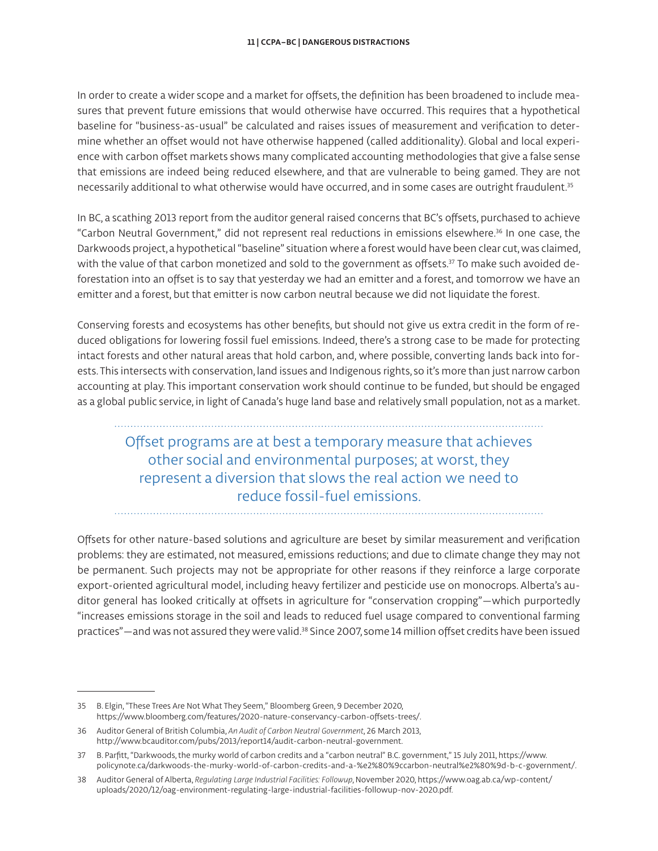In order to create a wider scope and a market for offsets, the definition has been broadened to include measures that prevent future emissions that would otherwise have occurred. This requires that a hypothetical baseline for "business-as-usual" be calculated and raises issues of measurement and verification to determine whether an offset would not have otherwise happened (called additionality). Global and local experience with carbon offset markets shows many complicated accounting methodologies that give a false sense that emissions are indeed being reduced elsewhere, and that are vulnerable to being gamed. They are not necessarily additional to what otherwise would have occurred, and in some cases are outright fraudulent.<sup>35</sup>

In BC, a scathing 2013 report from the auditor general raised concerns that BC's offsets, purchased to achieve "Carbon Neutral Government," did not represent real reductions in emissions elsewhere.36 In one case, the Darkwoods project, a hypothetical "baseline" situation where a forest would have been clear cut, was claimed, with the value of that carbon monetized and sold to the government as offsets.<sup>37</sup> To make such avoided deforestation into an offset is to say that yesterday we had an emitter and a forest, and tomorrow we have an emitter and a forest, but that emitter is now carbon neutral because we did not liquidate the forest.

Conserving forests and ecosystems has other benefits, but should not give us extra credit in the form of reduced obligations for lowering fossil fuel emissions. Indeed, there's a strong case to be made for protecting intact forests and other natural areas that hold carbon, and, where possible, converting lands back into forests. This intersects with conservation, land issues and Indigenous rights, so it's more than just narrow carbon accounting at play. This important conservation work should continue to be funded, but should be engaged as a global public service, in light of Canada's huge land base and relatively small population, not as a market.

Offset programs are at best a temporary measure that achieves other social and environmental purposes; at worst, they represent a diversion that slows the real action we need to reduce fossil-fuel emissions.

Offsets for other nature-based solutions and agriculture are beset by similar measurement and verification problems: they are estimated, not measured, emissions reductions; and due to climate change they may not be permanent. Such projects may not be appropriate for other reasons if they reinforce a large corporate export-oriented agricultural model, including heavy fertilizer and pesticide use on monocrops. Alberta's auditor general has looked critically at offsets in agriculture for "conservation cropping"—which purportedly "increases emissions storage in the soil and leads to reduced fuel usage compared to conventional farming practices"—and was not assured they were valid.<sup>38</sup> Since 2007, some 14 million offset credits have been issued

<sup>35</sup> B. Elgin, "These Trees Are Not What They Seem," Bloomberg Green, 9 December 2020, [https://www.bloomberg.com/features/2020-nature-conservancy-carbon-offsets-trees/.](https://www.bloomberg.com/features/2020-nature-conservancy-carbon-offsets-trees/)

<sup>36</sup> Auditor General of British Columbia, *An Audit of Carbon Neutral Government*, 26 March 2013, [http://www.bcauditor.com/pubs/2013/report14/audit-carbon-neutral-government.](http://www.bcauditor.com/pubs/2013/report14/audit-carbon-neutral-government)

<sup>37</sup> B. Parfitt, "Darkwoods, the murky world of carbon credits and a "carbon neutral" B.C. government," 15 July 2011, [https://www.](https://www.policynote.ca/darkwoods-the-murky-world-of-carbon-credits-and-a-%e2%80%9ccarbon-neutral%e2%80%9d-b-c-government/) [policynote.ca/darkwoods-the-murky-world-of-carbon-credits-and-a-%e2%80%9ccarbon-neutral%e2%80%9d-b-c-government/](https://www.policynote.ca/darkwoods-the-murky-world-of-carbon-credits-and-a-%e2%80%9ccarbon-neutral%e2%80%9d-b-c-government/).

<sup>38</sup> Auditor General of Alberta, *Regulating Large Industrial Facilities: Followup*, November 2020, [https://www.oag.ab.ca/wp-content/](https://www.oag.ab.ca/wp-content/uploads/2020/12/oag-environment-regulating-large-industrial-facilities-followup-nov-2020.pdf) [uploads/2020/12/oag-environment-regulating-large-industrial-facilities-followup-nov-2020.pdf](https://www.oag.ab.ca/wp-content/uploads/2020/12/oag-environment-regulating-large-industrial-facilities-followup-nov-2020.pdf).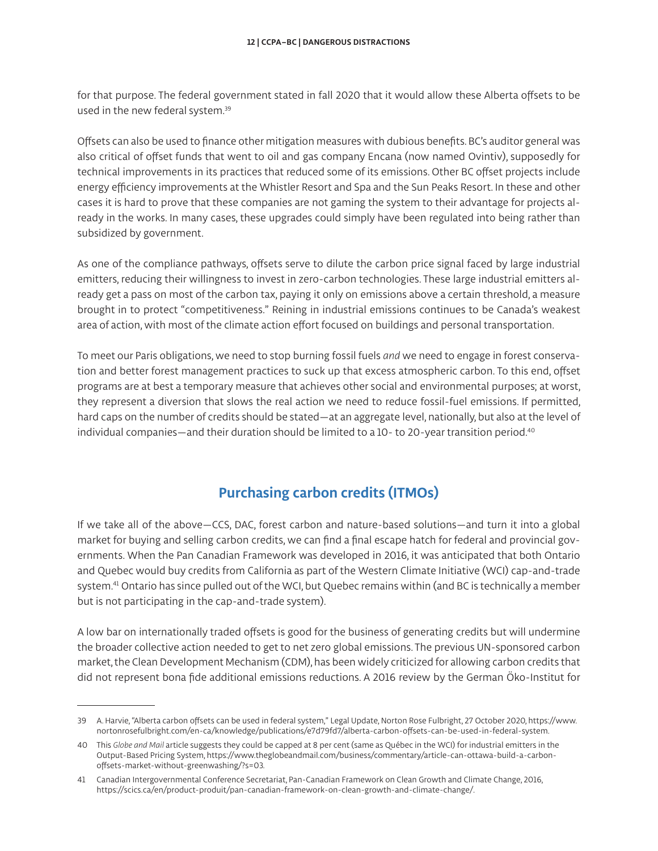for that purpose. The federal government stated in fall 2020 that it would allow these Alberta offsets to be used in the new federal system.39

Offsets can also be used to finance other mitigation measures with dubious benefits. BC's auditor general was also critical of offset funds that went to oil and gas company Encana (now named Ovintiv), supposedly for technical improvements in its practices that reduced some of its emissions. Other BC offset projects include energy efficiency improvements at the Whistler Resort and Spa and the Sun Peaks Resort. In these and other cases it is hard to prove that these companies are not gaming the system to their advantage for projects already in the works. In many cases, these upgrades could simply have been regulated into being rather than subsidized by government.

As one of the compliance pathways, offsets serve to dilute the carbon price signal faced by large industrial emitters, reducing their willingness to invest in zero-carbon technologies. These large industrial emitters already get a pass on most of the carbon tax, paying it only on emissions above a certain threshold, a measure brought in to protect "competitiveness." Reining in industrial emissions continues to be Canada's weakest area of action, with most of the climate action effort focused on buildings and personal transportation.

To meet our Paris obligations, we need to stop burning fossil fuels *and* we need to engage in forest conservation and better forest management practices to suck up that excess atmospheric carbon. To this end, offset programs are at best a temporary measure that achieves other social and environmental purposes; at worst, they represent a diversion that slows the real action we need to reduce fossil-fuel emissions. If permitted, hard caps on the number of credits should be stated—at an aggregate level, nationally, but also at the level of individual companies—and their duration should be limited to a 10- to 20-year transition period.<sup>40</sup>

## **Purchasing carbon credits (ITMOs)**

If we take all of the above—CCS, DAC, forest carbon and nature-based solutions—and turn it into a global market for buying and selling carbon credits, we can find a final escape hatch for federal and provincial governments. When the Pan Canadian Framework was developed in 2016, it was anticipated that both Ontario and Quebec would buy credits from California as part of the Western Climate Initiative (WCI) cap-and-trade system.41 Ontario has since pulled out of the WCI, but Quebec remains within (and BC is technically a member but is not participating in the cap-and-trade system).

A low bar on internationally traded offsets is good for the business of generating credits but will undermine the broader collective action needed to get to net zero global emissions. The previous UN-sponsored carbon market, the Clean Development Mechanism (CDM), has been widely criticized for allowing carbon credits that did not represent bona fide additional emissions reductions. A 2016 review by the German Öko-Institut for

<sup>39</sup> A. Harvie, "Alberta carbon offsets can be used in federal system," Legal Update, Norton Rose Fulbright, 27 October 2020, [https://www.](https://www.nortonrosefulbright.com/en-ca/knowledge/publications/e7d79fd7/alberta-carbon-offsets-can-be-used-in-federal-system) [nortonrosefulbright.com/en-ca/knowledge/publications/e7d79fd7/alberta-carbon-offsets-can-be-used-in-federal-system](https://www.nortonrosefulbright.com/en-ca/knowledge/publications/e7d79fd7/alberta-carbon-offsets-can-be-used-in-federal-system).

<sup>40</sup> This *Globe and Mail* article suggests they could be capped at 8 per cent (same as Québec in the WCI) for industrial emitters in the Output-Based Pricing System, [https://www.theglobeandmail.com/business/commentary/article-can-ottawa-build-a-carbon](https://www.theglobeandmail.com/business/commentary/article-can-ottawa-build-a-carbon-offsets-market-without-greenwashing/?s=03)[offsets-market-without-greenwashing/?s=03.](https://www.theglobeandmail.com/business/commentary/article-can-ottawa-build-a-carbon-offsets-market-without-greenwashing/?s=03)

<sup>41</sup> Canadian Intergovernmental Conference Secretariat, Pan-Canadian Framework on Clean Growth and Climate Change, 2016, <https://scics.ca/en/product-produit/pan-canadian-framework-on-clean-growth-and-climate-change/>.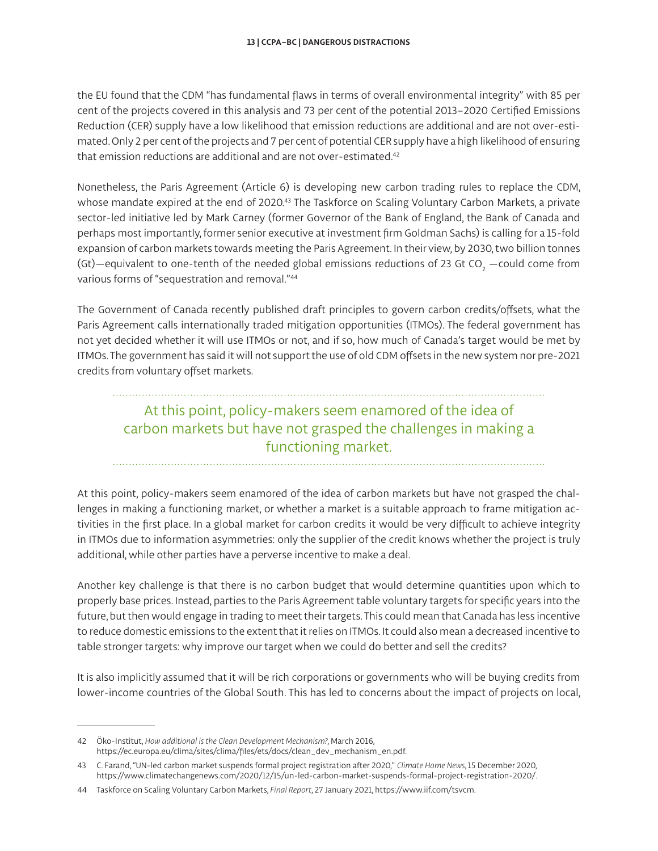the EU found that the CDM "has fundamental flaws in terms of overall environmental integrity" with 85 per cent of the projects covered in this analysis and 73 per cent of the potential 2013–2020 Certified Emissions Reduction (CER) supply have a low likelihood that emission reductions are additional and are not over-estimated. Only 2 per cent of the projects and 7 per cent of potential CER supply have a high likelihood of ensuring that emission reductions are additional and are not over-estimated.<sup>42</sup>

Nonetheless, the Paris Agreement (Article 6) is developing new carbon trading rules to replace the CDM, whose mandate expired at the end of 2020.<sup>43</sup> The Taskforce on Scaling Voluntary Carbon Markets, a private sector-led initiative led by Mark Carney (former Governor of the Bank of England, the Bank of Canada and perhaps most importantly, former senior executive at investment firm Goldman Sachs) is calling for a 15-fold expansion of carbon markets towards meeting the Paris Agreement. In their view, by 2030, two billion tonnes (Gt)—equivalent to one-tenth of the needed global emissions reductions of 23 Gt CO $_{\textrm{\tiny{2}}}$  —could come from various forms of "sequestration and removal."44

The Government of Canada recently published draft principles to govern carbon credits/offsets, what the Paris Agreement calls internationally traded mitigation opportunities (ITMOs). The federal government has not yet decided whether it will use ITMOs or not, and if so, how much of Canada's target would be met by ITMOs. The government has said it will not support the use of old CDM offsets in the new system nor pre-2021 credits from voluntary offset markets.

# At this point, policy-makers seem enamored of the idea of carbon markets but have not grasped the challenges in making a functioning market.

At this point, policy-makers seem enamored of the idea of carbon markets but have not grasped the challenges in making a functioning market, or whether a market is a suitable approach to frame mitigation activities in the first place. In a global market for carbon credits it would be very difficult to achieve integrity in ITMOs due to information asymmetries: only the supplier of the credit knows whether the project is truly additional, while other parties have a perverse incentive to make a deal.

Another key challenge is that there is no carbon budget that would determine quantities upon which to properly base prices. Instead, parties to the Paris Agreement table voluntary targets for specific years into the future, but then would engage in trading to meet their targets. This could mean that Canada has less incentive to reduce domestic emissions to the extent that it relies on ITMOs. It could also mean a decreased incentive to table stronger targets: why improve our target when we could do better and sell the credits?

It is also implicitly assumed that it will be rich corporations or governments who will be buying credits from lower-income countries of the Global South. This has led to concerns about the impact of projects on local,

<sup>42</sup> Öko-Institut, *How additional is the Clean Development Mechanism?*, March 2016, [https://ec.europa.eu/clima/sites/clima/files/ets/docs/clean\\_dev\\_mechanism\\_en.pdf](https://ec.europa.eu/clima/sites/clima/files/ets/docs/clean_dev_mechanism_en.pdf).

<sup>43</sup> C. Farand, "UN-led carbon market suspends formal project registration after 2020," *Climate Home News*, 15 December 2020, <https://www.climatechangenews.com/2020/12/15/un-led-carbon-market-suspends-formal-project-registration-2020/>.

<sup>44</sup> Taskforce on Scaling Voluntary Carbon Markets, *Final Report*, 27 January 2021,<https://www.iif.com/tsvcm>.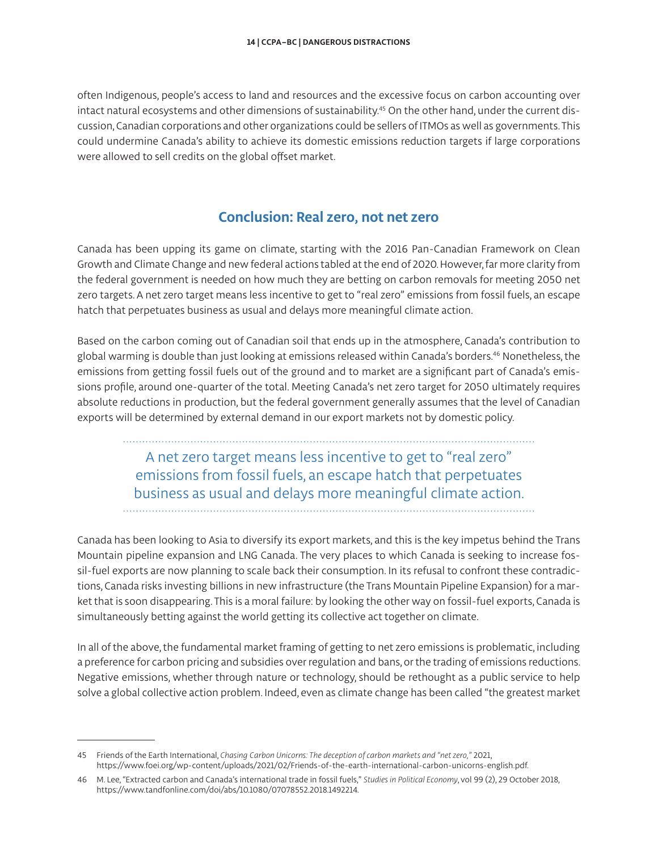often Indigenous, people's access to land and resources and the excessive focus on carbon accounting over intact natural ecosystems and other dimensions of sustainability.<sup>45</sup> On the other hand, under the current discussion, Canadian corporations and other organizations could be sellers of ITMOs as well as governments. This could undermine Canada's ability to achieve its domestic emissions reduction targets if large corporations were allowed to sell credits on the global offset market.

### **Conclusion: Real zero, not net zero**

Canada has been upping its game on climate, starting with the 2016 Pan-Canadian Framework on Clean Growth and Climate Change and new federal actions tabled at the end of 2020. However, far more clarity from the federal government is needed on how much they are betting on carbon removals for meeting 2050 net zero targets. A net zero target means less incentive to get to "real zero" emissions from fossil fuels, an escape hatch that perpetuates business as usual and delays more meaningful climate action.

Based on the carbon coming out of Canadian soil that ends up in the atmosphere, Canada's contribution to global warming is double than just looking at emissions released within Canada's borders.46 Nonetheless, the emissions from getting fossil fuels out of the ground and to market are a significant part of Canada's emissions profile, around one-quarter of the total. Meeting Canada's net zero target for 2050 ultimately requires absolute reductions in production, but the federal government generally assumes that the level of Canadian exports will be determined by external demand in our export markets not by domestic policy.

> A net zero target means less incentive to get to "real zero" emissions from fossil fuels, an escape hatch that perpetuates business as usual and delays more meaningful climate action.

Canada has been looking to Asia to diversify its export markets, and this is the key impetus behind the Trans Mountain pipeline expansion and LNG Canada. The very places to which Canada is seeking to increase fossil-fuel exports are now planning to scale back their consumption. In its refusal to confront these contradictions, Canada risks investing billions in new infrastructure (the Trans Mountain Pipeline Expansion) for a market that is soon disappearing. This is a moral failure: by looking the other way on fossil-fuel exports, Canada is simultaneously betting against the world getting its collective act together on climate.

In all of the above, the fundamental market framing of getting to net zero emissions is problematic, including a preference for carbon pricing and subsidies over regulation and bans, or the trading of emissions reductions. Negative emissions, whether through nature or technology, should be rethought as a public service to help solve a global collective action problem. Indeed, even as climate change has been called "the greatest market

<sup>45</sup> Friends of the Earth International, *Chasing Carbon Unicorns: The deception of carbon markets and "net zero,"* 2021, [https://www.foei.org/wp-content/uploads/2021/02/Friends-of-the-earth-international-carbon-unicorns-english.pdf.](https://www.foei.org/wp-content/uploads/2021/02/Friends-of-the-earth-international-carbon-unicorns-english.pdf)

<sup>46</sup> M. Lee, "Extracted carbon and Canada's international trade in fossil fuels," *Studies in Political Economy*, vol 99 (2), 29 October 2018, [https://www.tandfonline.com/doi/abs/10.1080/07078552.2018.1492214.](https://www.tandfonline.com/doi/abs/10.1080/07078552.2018.1492214)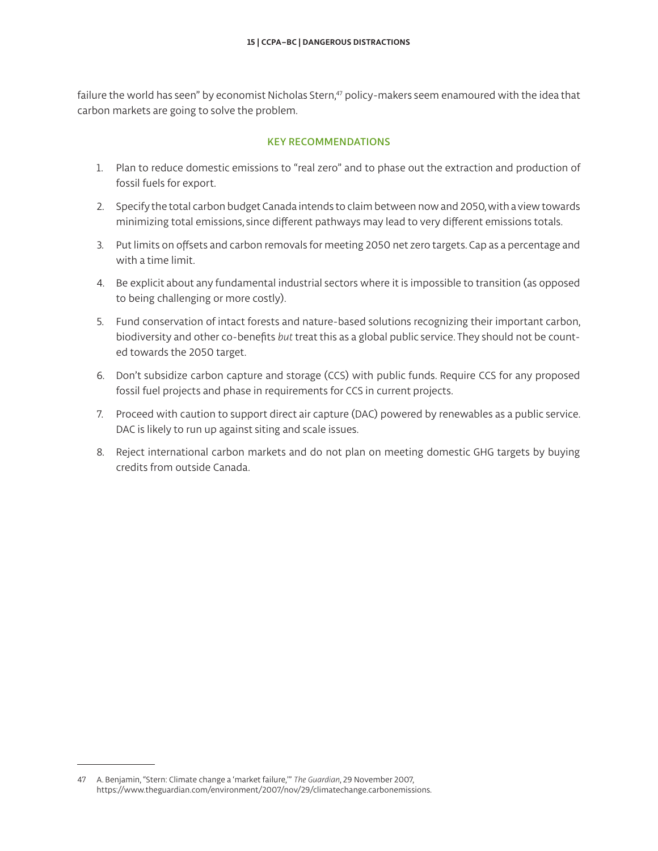failure the world has seen" by economist Nicholas Stern,<sup>47</sup> policy-makers seem enamoured with the idea that carbon markets are going to solve the problem.

#### KEY RECOMMENDATIONS

- 1. Plan to reduce domestic emissions to "real zero" and to phase out the extraction and production of fossil fuels for export.
- 2. Specify the total carbon budget Canada intends to claim between now and 2050, with a view towards minimizing total emissions, since different pathways may lead to very different emissions totals.
- 3. Put limits on offsets and carbon removals for meeting 2050 net zero targets. Cap as a percentage and with a time limit.
- 4. Be explicit about any fundamental industrial sectors where it is impossible to transition (as opposed to being challenging or more costly).
- 5. Fund conservation of intact forests and nature-based solutions recognizing their important carbon, biodiversity and other co-benefits *but* treat this as a global public service. They should not be counted towards the 2050 target.
- 6. Don't subsidize carbon capture and storage (CCS) with public funds. Require CCS for any proposed fossil fuel projects and phase in requirements for CCS in current projects.
- 7. Proceed with caution to support direct air capture (DAC) powered by renewables as a public service. DAC is likely to run up against siting and scale issues.
- 8. Reject international carbon markets and do not plan on meeting domestic GHG targets by buying credits from outside Canada.

<sup>47</sup> A. Benjamin, "Stern: Climate change a 'market failure,'" *The Guardian*, 29 November 2007, <https://www.theguardian.com/environment/2007/nov/29/climatechange.carbonemissions>.